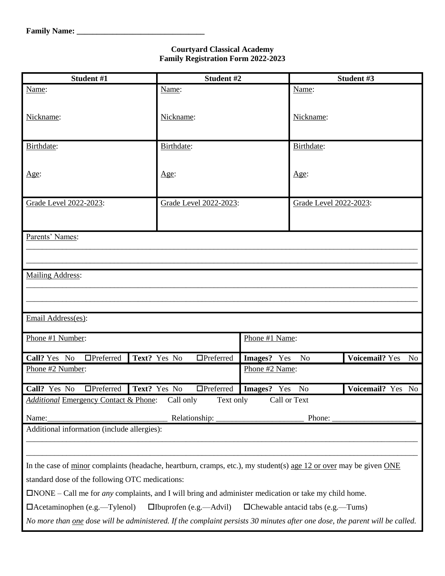## **Courtyard Classical Academy Family Registration Form 2022-2023**

| Student #1                                                                                                                         | Student #2                       |                |                        | Student #3                  |  |
|------------------------------------------------------------------------------------------------------------------------------------|----------------------------------|----------------|------------------------|-----------------------------|--|
| Name:                                                                                                                              | Name:                            |                | Name:                  |                             |  |
|                                                                                                                                    |                                  |                |                        |                             |  |
| Nickname:                                                                                                                          | Nickname:                        |                | Nickname:              |                             |  |
|                                                                                                                                    |                                  |                |                        |                             |  |
| Birthdate:                                                                                                                         | Birthdate:                       |                | Birthdate:             |                             |  |
|                                                                                                                                    |                                  |                |                        |                             |  |
|                                                                                                                                    |                                  |                |                        |                             |  |
| Age:                                                                                                                               | Age:                             |                | Age:                   |                             |  |
|                                                                                                                                    |                                  |                |                        |                             |  |
| Grade Level 2022-2023:                                                                                                             | Grade Level 2022-2023:           |                | Grade Level 2022-2023: |                             |  |
|                                                                                                                                    |                                  |                |                        |                             |  |
|                                                                                                                                    |                                  |                |                        |                             |  |
| Parents' Names:                                                                                                                    |                                  |                |                        |                             |  |
|                                                                                                                                    |                                  |                |                        |                             |  |
|                                                                                                                                    |                                  |                |                        |                             |  |
| <b>Mailing Address:</b>                                                                                                            |                                  |                |                        |                             |  |
|                                                                                                                                    |                                  |                |                        |                             |  |
|                                                                                                                                    |                                  |                |                        |                             |  |
| Email Address(es):                                                                                                                 |                                  |                |                        |                             |  |
| Phone #1 Number:                                                                                                                   |                                  | Phone #1 Name: |                        |                             |  |
|                                                                                                                                    |                                  |                |                        |                             |  |
| Call? Yes No<br>$\Box$ Preferred                                                                                                   | Text? Yes No<br>$\Box$ Preferred | Images? Yes    | N <sub>o</sub>         | <b>Voicemail?</b> Yes<br>No |  |
| Phone #2 Number:                                                                                                                   |                                  | Phone #2 Name: |                        |                             |  |
| Call? Yes No<br>$\Box$ Preferred                                                                                                   | Text? Yes No<br>$\Box$ Preferred | Images? Yes    | N <sub>o</sub>         | Voicemail? Yes<br>No        |  |
| <b>Additional Emergency Contact &amp; Phone:</b>                                                                                   | Call only<br>Text only           | Call or Text   |                        |                             |  |
|                                                                                                                                    |                                  |                |                        |                             |  |
| Relationship:<br>Phone:<br>Name:                                                                                                   |                                  |                |                        |                             |  |
| Additional information (include allergies):                                                                                        |                                  |                |                        |                             |  |
|                                                                                                                                    |                                  |                |                        |                             |  |
| In the case of $\frac{minor}{i}$ complaints (headache, heartburn, cramps, etc.), my student(s) age 12 or over may be given ONE     |                                  |                |                        |                             |  |
|                                                                                                                                    |                                  |                |                        |                             |  |
| standard dose of the following OTC medications:                                                                                    |                                  |                |                        |                             |  |
| $\Box$ <b>NOTE</b> – Call me for <i>any complaints</i> , and I will bring and <i>administer medication or take my child home</i> . |                                  |                |                        |                             |  |
| $\Box$ Acetaminophen (e.g.—Tylenol)<br>$\Box$ Ibuprofen (e.g.—Advil)<br>□Chewable antacid tabs (e.g.—Tums)                         |                                  |                |                        |                             |  |
| No more than one dose will be administered. If the complaint persists 30 minutes after one dose, the parent will be called.        |                                  |                |                        |                             |  |
|                                                                                                                                    |                                  |                |                        |                             |  |